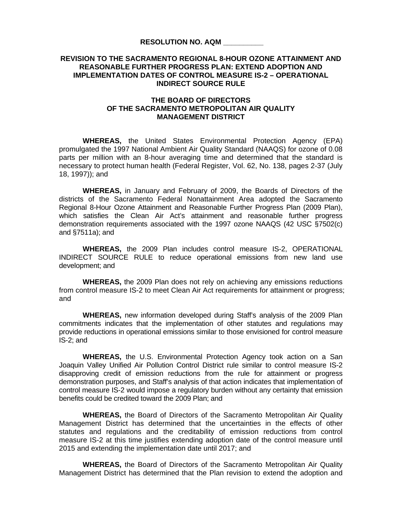## **RESOLUTION NO. AQM \_\_\_\_\_\_\_\_\_\_**

## **REVISION TO THE SACRAMENTO REGIONAL 8-HOUR OZONE ATTAINMENT AND REASONABLE FURTHER PROGRESS PLAN: EXTEND ADOPTION AND IMPLEMENTATION DATES OF CONTROL MEASURE IS-2 – OPERATIONAL INDIRECT SOURCE RULE**

## **THE BOARD OF DIRECTORS OF THE SACRAMENTO METROPOLITAN AIR QUALITY MANAGEMENT DISTRICT**

**WHEREAS,** the United States Environmental Protection Agency (EPA) promulgated the 1997 National Ambient Air Quality Standard (NAAQS) for ozone of 0.08 parts per million with an 8-hour averaging time and determined that the standard is necessary to protect human health (Federal Register, Vol. 62, No. 138, pages 2-37 (July 18, 1997)); and

**WHEREAS,** in January and February of 2009, the Boards of Directors of the districts of the Sacramento Federal Nonattainment Area adopted the Sacramento Regional 8-Hour Ozone Attainment and Reasonable Further Progress Plan (2009 Plan), which satisfies the Clean Air Act's attainment and reasonable further progress demonstration requirements associated with the 1997 ozone NAAQS (42 USC §7502(c) and §7511a); and

 **WHEREAS,** the 2009 Plan includes control measure IS-2, OPERATIONAL INDIRECT SOURCE RULE to reduce operational emissions from new land use development; and

 **WHEREAS,** the 2009 Plan does not rely on achieving any emissions reductions from control measure IS-2 to meet Clean Air Act requirements for attainment or progress; and

**WHEREAS,** new information developed during Staff's analysis of the 2009 Plan commitments indicates that the implementation of other statutes and regulations may provide reductions in operational emissions similar to those envisioned for control measure IS-2; and

**WHEREAS,** the U.S. Environmental Protection Agency took action on a San Joaquin Valley Unified Air Pollution Control District rule similar to control measure IS-2 disapproving credit of emission reductions from the rule for attainment or progress demonstration purposes, and Staff's analysis of that action indicates that implementation of control measure IS-2 would impose a regulatory burden without any certainty that emission benefits could be credited toward the 2009 Plan; and

**WHEREAS,** the Board of Directors of the Sacramento Metropolitan Air Quality Management District has determined that the uncertainties in the effects of other statutes and regulations and the creditability of emission reductions from control measure IS-2 at this time justifies extending adoption date of the control measure until 2015 and extending the implementation date until 2017; and

**WHEREAS,** the Board of Directors of the Sacramento Metropolitan Air Quality Management District has determined that the Plan revision to extend the adoption and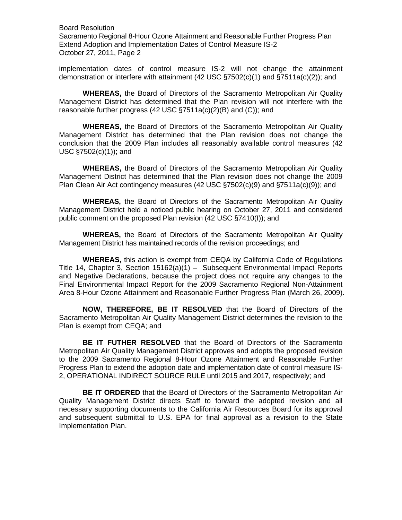Board Resolution Sacramento Regional 8-Hour Ozone Attainment and Reasonable Further Progress Plan Extend Adoption and Implementation Dates of Control Measure IS-2 October 27, 2011, Page 2

implementation dates of control measure IS-2 will not change the attainment demonstration or interfere with attainment (42 USC §7502(c)(1) and §7511a(c)(2)); and

**WHEREAS,** the Board of Directors of the Sacramento Metropolitan Air Quality Management District has determined that the Plan revision will not interfere with the reasonable further progress (42 USC §7511a(c)(2)(B) and (C)); and

**WHEREAS,** the Board of Directors of the Sacramento Metropolitan Air Quality Management District has determined that the Plan revision does not change the conclusion that the 2009 Plan includes all reasonably available control measures (42 USC §7502(c)(1)); and

**WHEREAS,** the Board of Directors of the Sacramento Metropolitan Air Quality Management District has determined that the Plan revision does not change the 2009 Plan Clean Air Act contingency measures (42 USC §7502(c)(9) and §7511a(c)(9)); and

**WHEREAS,** the Board of Directors of the Sacramento Metropolitan Air Quality Management District held a noticed public hearing on October 27, 2011 and considered public comment on the proposed Plan revision (42 USC §7410(I)); and

**WHEREAS,** the Board of Directors of the Sacramento Metropolitan Air Quality Management District has maintained records of the revision proceedings; and

**WHEREAS,** this action is exempt from CEQA by California Code of Regulations Title 14, Chapter 3, Section 15162(a)(1) – Subsequent Environmental Impact Reports and Negative Declarations, because the project does not require any changes to the Final Environmental Impact Report for the 2009 Sacramento Regional Non-Attainment Area 8-Hour Ozone Attainment and Reasonable Further Progress Plan (March 26, 2009).

**NOW, THEREFORE, BE IT RESOLVED** that the Board of Directors of the Sacramento Metropolitan Air Quality Management District determines the revision to the Plan is exempt from CEQA; and

**BE IT FUTHER RESOLVED** that the Board of Directors of the Sacramento Metropolitan Air Quality Management District approves and adopts the proposed revision to the 2009 Sacramento Regional 8-Hour Ozone Attainment and Reasonable Further Progress Plan to extend the adoption date and implementation date of control measure IS-2, OPERATIONAL INDIRECT SOURCE RULE until 2015 and 2017, respectively; and

**BE IT ORDERED** that the Board of Directors of the Sacramento Metropolitan Air Quality Management District directs Staff to forward the adopted revision and all necessary supporting documents to the California Air Resources Board for its approval and subsequent submittal to U.S. EPA for final approval as a revision to the State Implementation Plan.